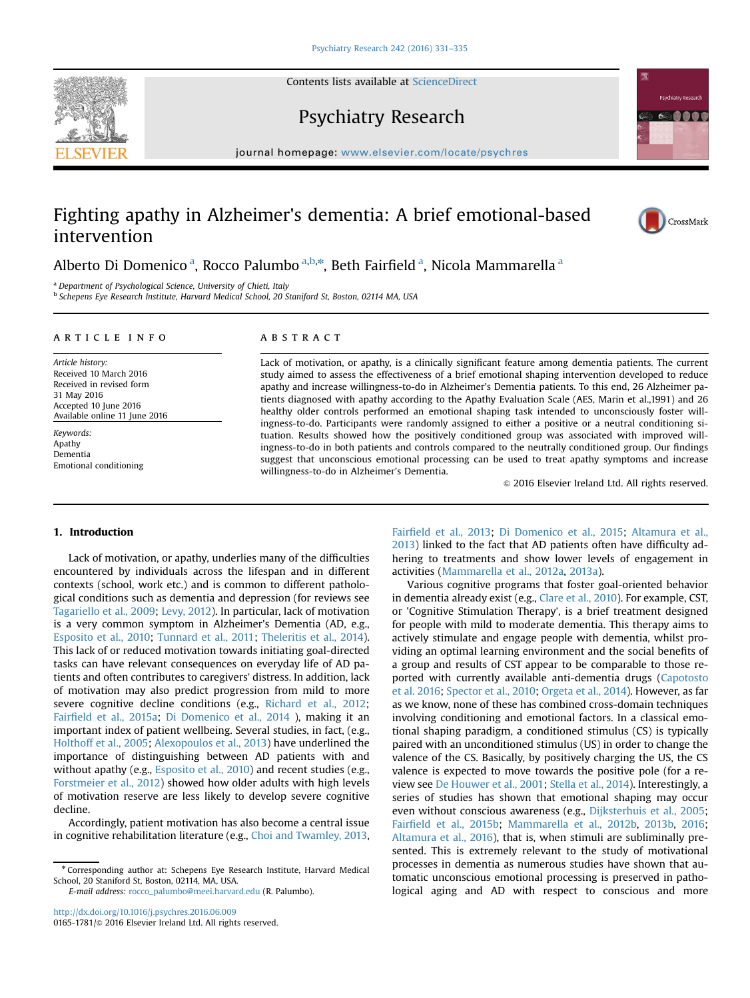Contents lists available at [ScienceDirect](www.sciencedirect.com/science/journal/01651781)





## Psychiatry Research

journal homepage: <www.elsevier.com/locate/psychres>

# Fighting apathy in Alzheimer's dementia: A brief emotional-based intervention



Alberto Di Domenico<sup>a</sup>, Rocco Palumbo<sup>a,b,\*</sup>, Beth Fairfield<sup>a</sup>, Nicola Mammarella<sup>a</sup>

<sup>a</sup> Department of Psychological Science, University of Chieti, Italy

<sup>b</sup> Schepens Eye Research Institute, Harvard Medical School, 20 Staniford St, Boston, 02114 MA, USA

#### article info

Article history: Received 10 March 2016 Received in revised form 31 May 2016 Accepted 10 June 2016 Available online 11 June 2016

Keywords: Apathy Dementia Emotional conditioning

### **ABSTRACT**

Lack of motivation, or apathy, is a clinically significant feature among dementia patients. The current study aimed to assess the effectiveness of a brief emotional shaping intervention developed to reduce apathy and increase willingness-to-do in Alzheimer's Dementia patients. To this end, 26 Alzheimer patients diagnosed with apathy according to the Apathy Evaluation Scale (AES, Marin et al.,1991) and 26 healthy older controls performed an emotional shaping task intended to unconsciously foster willingness-to-do. Participants were randomly assigned to either a positive or a neutral conditioning situation. Results showed how the positively conditioned group was associated with improved willingness-to-do in both patients and controls compared to the neutrally conditioned group. Our findings suggest that unconscious emotional processing can be used to treat apathy symptoms and increase willingness-to-do in Alzheimer's Dementia.

 $@$  2016 Elsevier Ireland Ltd. All rights reserved.

#### 1. Introduction

Lack of motivation, or apathy, underlies many of the difficulties encountered by individuals across the lifespan and in different contexts (school, work etc.) and is common to different pathological conditions such as dementia and depression (for reviews see [Tagariello et al., 2009](#page-4-0); [Levy, 2012\)](#page-4-0). In particular, lack of motivation is a very common symptom in Alzheimer's Dementia (AD, e.g., [Esposito et al., 2010](#page-3-0); [Tunnard et al., 2011;](#page-4-0) [Theleritis et al., 2014\)](#page-4-0). This lack of or reduced motivation towards initiating goal-directed tasks can have relevant consequences on everyday life of AD patients and often contributes to caregivers' distress. In addition, lack of motivation may also predict progression from mild to more severe cognitive decline conditions (e.g., [Richard et al., 2012;](#page-4-0) Fairfi[eld et al., 2015a](#page-3-0); [Di Domenico et al., 2014](#page-3-0) ), making it an important index of patient wellbeing. Several studies, in fact, (e.g., [Holthoff et al., 2005;](#page-4-0) [Alexopoulos et al., 2013\)](#page-3-0) have underlined the importance of distinguishing between AD patients with and without apathy (e.g., [Esposito et al., 2010](#page-3-0)) and recent studies (e.g., [Forstmeier et al., 2012](#page-3-0)) showed how older adults with high levels of motivation reserve are less likely to develop severe cognitive decline.

Accordingly, patient motivation has also become a central issue in cognitive rehabilitation literature (e.g., [Choi and Twamley, 2013,](#page-3-0)

E-mail address: [rocco\\_palumbo@meei.harvard.edu](mailto:rocco_palumbo@meei.harvard.edu) (R. Palumbo).

<http://dx.doi.org/10.1016/j.psychres.2016.06.009> 0165-1781/© 2016 Elsevier Ireland Ltd. All rights reserved. Fairfi[eld et al., 2013;](#page-3-0) [Di Domenico et al., 2015](#page-3-0); [Altamura et al.,](#page-3-0) [2013\)](#page-3-0) linked to the fact that AD patients often have difficulty adhering to treatments and show lower levels of engagement in activities [\(Mammarella et al., 2012a,](#page-4-0) [2013a](#page-4-0)).

Various cognitive programs that foster goal-oriented behavior in dementia already exist (e.g., [Clare et al., 2010](#page-3-0)). For example, CST, or 'Cognitive Stimulation Therapy', is a brief treatment designed for people with mild to moderate dementia. This therapy aims to actively stimulate and engage people with dementia, whilst providing an optimal learning environment and the social benefits of a group and results of CST appear to be comparable to those reported with currently available anti-dementia drugs [\(Capotosto](#page-3-0) [et al. 2016;](#page-3-0) [Spector et al., 2010](#page-4-0); [Orgeta et al., 2014\)](#page-4-0). However, as far as we know, none of these has combined cross-domain techniques involving conditioning and emotional factors. In a classical emotional shaping paradigm, a conditioned stimulus (CS) is typically paired with an unconditioned stimulus (US) in order to change the valence of the CS. Basically, by positively charging the US, the CS valence is expected to move towards the positive pole (for a review see [De Houwer et al., 2001](#page-3-0); [Stella et al., 2014\)](#page-4-0). Interestingly, a series of studies has shown that emotional shaping may occur even without conscious awareness (e.g., [Dijksterhuis et al., 2005;](#page-3-0) Fairfi[eld et al., 2015b](#page-3-0); [Mammarella et al., 2012b,](#page-4-0) [2013b](#page-4-0), [2016;](#page-4-0) [Altamura et al., 2016\)](#page-3-0), that is, when stimuli are subliminally presented. This is extremely relevant to the study of motivational processes in dementia as numerous studies have shown that automatic unconscious emotional processing is preserved in pathological aging and AD with respect to conscious and more

<sup>n</sup> Corresponding author at: Schepens Eye Research Institute, Harvard Medical School, 20 Staniford St, Boston, 02114, MA, USA.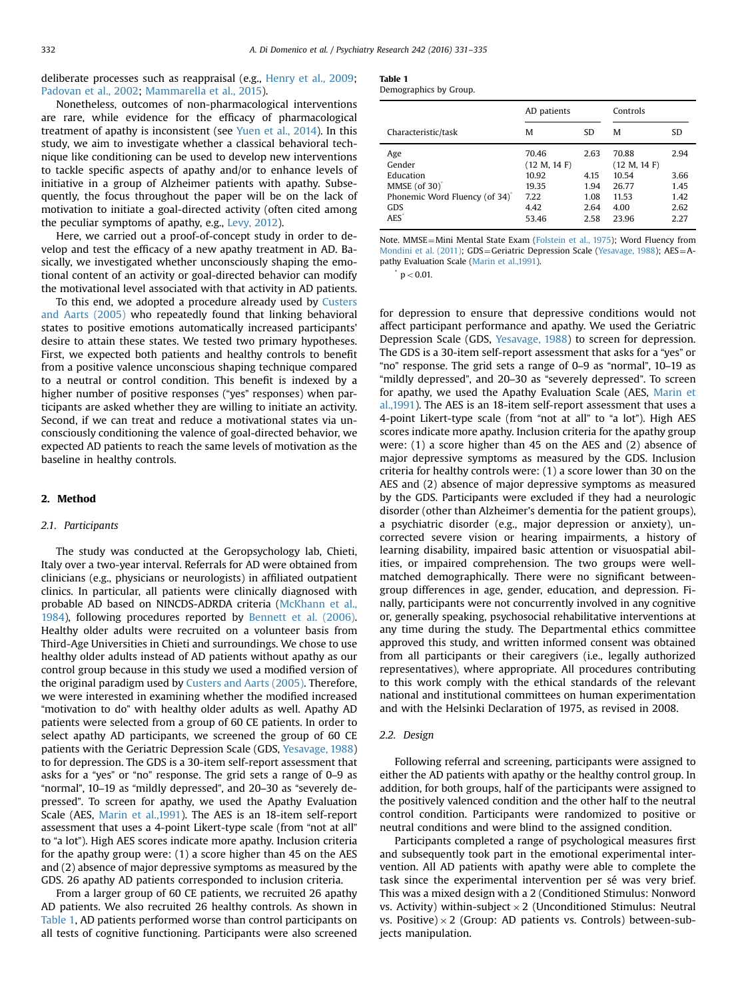deliberate processes such as reappraisal (e.g., [Henry et al., 2009;](#page-4-0) [Padovan et al., 2002;](#page-4-0) [Mammarella et al., 2015](#page-4-0)).

Nonetheless, outcomes of non-pharmacological interventions are rare, while evidence for the efficacy of pharmacological treatment of apathy is inconsistent (see [Yuen et al., 2014\)](#page-4-0). In this study, we aim to investigate whether a classical behavioral technique like conditioning can be used to develop new interventions to tackle specific aspects of apathy and/or to enhance levels of initiative in a group of Alzheimer patients with apathy. Subsequently, the focus throughout the paper will be on the lack of motivation to initiate a goal-directed activity (often cited among the peculiar symptoms of apathy, e.g., [Levy, 2012\)](#page-4-0).

Here, we carried out a proof-of-concept study in order to develop and test the efficacy of a new apathy treatment in AD. Basically, we investigated whether unconsciously shaping the emotional content of an activity or goal-directed behavior can modify the motivational level associated with that activity in AD patients.

To this end, we adopted a procedure already used by [Custers](#page-3-0) [and Aarts \(2005\)](#page-3-0) who repeatedly found that linking behavioral states to positive emotions automatically increased participants' desire to attain these states. We tested two primary hypotheses. First, we expected both patients and healthy controls to benefit from a positive valence unconscious shaping technique compared to a neutral or control condition. This benefit is indexed by a higher number of positive responses ("yes" responses) when participants are asked whether they are willing to initiate an activity. Second, if we can treat and reduce a motivational states via unconsciously conditioning the valence of goal-directed behavior, we expected AD patients to reach the same levels of motivation as the baseline in healthy controls.

#### 2. Method

#### 2.1. Participants

The study was conducted at the Geropsychology lab, Chieti, Italy over a two-year interval. Referrals for AD were obtained from clinicians (e.g., physicians or neurologists) in affiliated outpatient clinics. In particular, all patients were clinically diagnosed with probable AD based on NINCDS-ADRDA criteria [\(McKhann et al.,](#page-4-0) [1984](#page-4-0)), following procedures reported by [Bennett et al. \(2006\).](#page-3-0) Healthy older adults were recruited on a volunteer basis from Third-Age Universities in Chieti and surroundings. We chose to use healthy older adults instead of AD patients without apathy as our control group because in this study we used a modified version of the original paradigm used by [Custers and Aarts \(2005\)](#page-3-0). Therefore, we were interested in examining whether the modified increased "motivation to do" with healthy older adults as well. Apathy AD patients were selected from a group of 60 CE patients. In order to select apathy AD participants, we screened the group of 60 CE patients with the Geriatric Depression Scale (GDS, [Yesavage, 1988\)](#page-4-0) to for depression. The GDS is a 30-item self-report assessment that asks for a "yes" or "no" response. The grid sets a range of 0–9 as "normal", 10–19 as "mildly depressed", and 20–30 as "severely depressed". To screen for apathy, we used the Apathy Evaluation Scale (AES, [Marin et al.,1991\)](#page-4-0). The AES is an 18-item self-report assessment that uses a 4-point Likert-type scale (from "not at all" to "a lot"). High AES scores indicate more apathy. Inclusion criteria for the apathy group were: (1) a score higher than 45 on the AES and (2) absence of major depressive symptoms as measured by the GDS. 26 apathy AD patients corresponded to inclusion criteria.

From a larger group of 60 CE patients, we recruited 26 apathy AD patients. We also recruited 26 healthy controls. As shown in Table 1, AD patients performed worse than control participants on all tests of cognitive functioning. Participants were also screened

| Table 1                |  |
|------------------------|--|
| Demographics by Group. |  |

|                                 | AD patients  |      | Controls     |      |
|---------------------------------|--------------|------|--------------|------|
| Characteristic/task             | м            | SD   | М            | SD   |
| Age                             | 70.46        | 2.63 | 70.88        | 2.94 |
| Gender                          | (12 M, 14 F) |      | (12 M, 14 F) |      |
| Education                       | 10.92        | 4.15 | 10.54        | 3.66 |
| MMSE $($ of 30 $)$ <sup>*</sup> | 19.35        | 1.94 | 26.77        | 1.45 |
| Phonemic Word Fluency (of 34)   | 7.22         | 1.08 | 11.53        | 1.42 |
| GDS                             | 4.42         | 2.64 | 4.00         | 2.62 |
| <b>AES</b>                      | 53.46        | 2.58 | 23.96        | 2.27 |

Note. MMSE=Mini Mental State Exam ([Folstein et al., 1975](#page-3-0)); Word Fluency from [Mondini et al. \(2011\);](#page-4-0) GDS=Geriatric Depression Scale [\(Yesavage, 1988\)](#page-4-0); AES=Apathy Evaluation Scale [\(Marin et al.,1991](#page-4-0)).

 $p < 0.01$ .

for depression to ensure that depressive conditions would not affect participant performance and apathy. We used the Geriatric Depression Scale (GDS, [Yesavage, 1988\)](#page-4-0) to screen for depression. The GDS is a 30-item self-report assessment that asks for a "yes" or "no" response. The grid sets a range of 0–9 as "normal", 10–19 as "mildly depressed", and 20–30 as "severely depressed". To screen for apathy, we used the Apathy Evaluation Scale (AES, [Marin et](#page-4-0) [al.,1991\)](#page-4-0). The AES is an 18-item self-report assessment that uses a 4-point Likert-type scale (from "not at all" to "a lot"). High AES scores indicate more apathy. Inclusion criteria for the apathy group were: (1) a score higher than 45 on the AES and (2) absence of major depressive symptoms as measured by the GDS. Inclusion criteria for healthy controls were: (1) a score lower than 30 on the AES and (2) absence of major depressive symptoms as measured by the GDS. Participants were excluded if they had a neurologic disorder (other than Alzheimer's dementia for the patient groups), a psychiatric disorder (e.g., major depression or anxiety), uncorrected severe vision or hearing impairments, a history of learning disability, impaired basic attention or visuospatial abilities, or impaired comprehension. The two groups were wellmatched demographically. There were no significant betweengroup differences in age, gender, education, and depression. Finally, participants were not concurrently involved in any cognitive or, generally speaking, psychosocial rehabilitative interventions at any time during the study. The Departmental ethics committee approved this study, and written informed consent was obtained from all participants or their caregivers (i.e., legally authorized representatives), where appropriate. All procedures contributing to this work comply with the ethical standards of the relevant national and institutional committees on human experimentation and with the Helsinki Declaration of 1975, as revised in 2008.

#### 2.2. Design

Following referral and screening, participants were assigned to either the AD patients with apathy or the healthy control group. In addition, for both groups, half of the participants were assigned to the positively valenced condition and the other half to the neutral control condition. Participants were randomized to positive or neutral conditions and were blind to the assigned condition.

Participants completed a range of psychological measures first and subsequently took part in the emotional experimental intervention. All AD patients with apathy were able to complete the task since the experimental intervention per sé was very brief. This was a mixed design with a 2 (Conditioned Stimulus: Nonword vs. Activity) within-subject  $\times$  2 (Unconditioned Stimulus: Neutral vs. Positive)  $\times$  2 (Group: AD patients vs. Controls) between-subjects manipulation.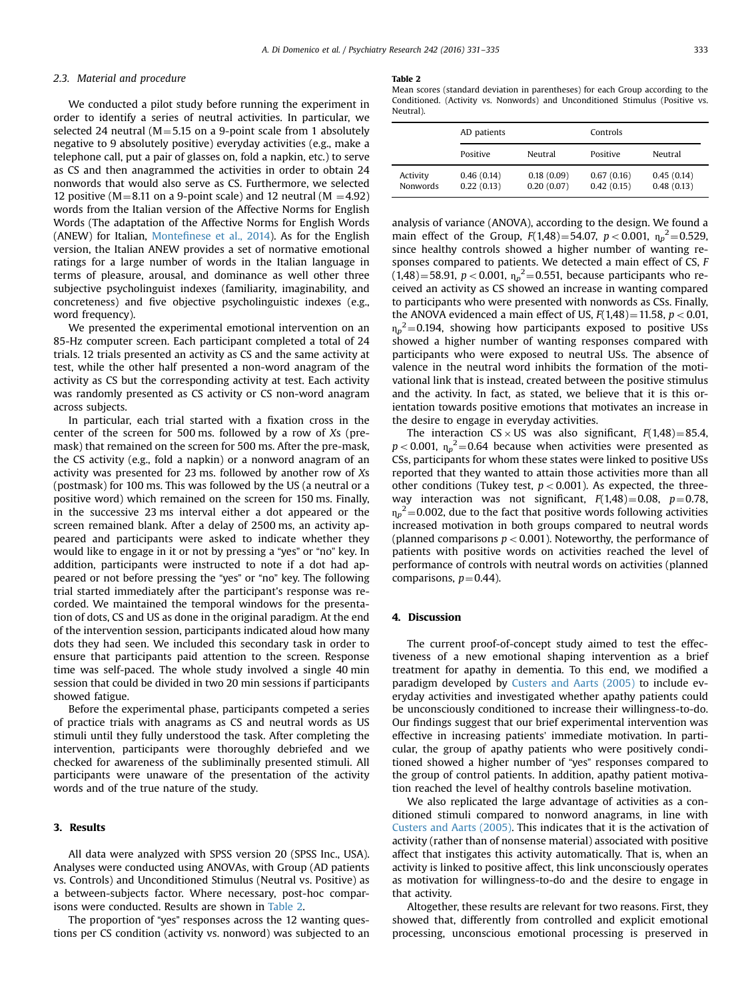#### 2.3. Material and procedure

We conducted a pilot study before running the experiment in order to identify a series of neutral activities. In particular, we selected 24 neutral ( $M = 5.15$  on a 9-point scale from 1 absolutely negative to 9 absolutely positive) everyday activities (e.g., make a telephone call, put a pair of glasses on, fold a napkin, etc.) to serve as CS and then anagrammed the activities in order to obtain 24 nonwords that would also serve as CS. Furthermore, we selected 12 positive ( $M = 8.11$  on a 9-point scale) and 12 neutral ( $M = 4.92$ ) words from the Italian version of the Affective Norms for English Words (The adaptation of the Affective Norms for English Words (ANEW) for Italian, Montefi[nese et al., 2014](#page-4-0)). As for the English version, the Italian ANEW provides a set of normative emotional ratings for a large number of words in the Italian language in terms of pleasure, arousal, and dominance as well other three subjective psycholinguist indexes (familiarity, imaginability, and concreteness) and five objective psycholinguistic indexes (e.g., word frequency).

We presented the experimental emotional intervention on an 85-Hz computer screen. Each participant completed a total of 24 trials. 12 trials presented an activity as CS and the same activity at test, while the other half presented a non-word anagram of the activity as CS but the corresponding activity at test. Each activity was randomly presented as CS activity or CS non-word anagram across subjects.

In particular, each trial started with a fixation cross in the center of the screen for 500 ms. followed by a row of Xs (premask) that remained on the screen for 500 ms. After the pre-mask, the CS activity (e.g., fold a napkin) or a nonword anagram of an activity was presented for 23 ms. followed by another row of Xs (postmask) for 100 ms. This was followed by the US (a neutral or a positive word) which remained on the screen for 150 ms. Finally, in the successive 23 ms interval either a dot appeared or the screen remained blank. After a delay of 2500 ms, an activity appeared and participants were asked to indicate whether they would like to engage in it or not by pressing a "yes" or "no" key. In addition, participants were instructed to note if a dot had appeared or not before pressing the "yes" or "no" key. The following trial started immediately after the participant's response was recorded. We maintained the temporal windows for the presentation of dots, CS and US as done in the original paradigm. At the end of the intervention session, participants indicated aloud how many dots they had seen. We included this secondary task in order to ensure that participants paid attention to the screen. Response time was self-paced. The whole study involved a single 40 min session that could be divided in two 20 min sessions if participants showed fatigue.

Before the experimental phase, participants competed a series of practice trials with anagrams as CS and neutral words as US stimuli until they fully understood the task. After completing the intervention, participants were thoroughly debriefed and we checked for awareness of the subliminally presented stimuli. All participants were unaware of the presentation of the activity words and of the true nature of the study.

### 3. Results

All data were analyzed with SPSS version 20 (SPSS Inc., USA). Analyses were conducted using ANOVAs, with Group (AD patients vs. Controls) and Unconditioned Stimulus (Neutral vs. Positive) as a between-subjects factor. Where necessary, post-hoc comparisons were conducted. Results are shown in Table 2.

The proportion of "yes" responses across the 12 wanting questions per CS condition (activity vs. nonword) was subjected to an

#### Table 2

Mean scores (standard deviation in parentheses) for each Group according to the Conditioned. (Activity vs. Nonwords) and Unconditioned Stimulus (Positive vs. Neutral).

|                             | AD patients              |                          | Controls                 |                          |
|-----------------------------|--------------------------|--------------------------|--------------------------|--------------------------|
|                             | Positive                 | Neutral                  | Positive                 | Neutral                  |
| Activity<br><b>Nonwords</b> | 0.46(0.14)<br>0.22(0.13) | 0.18(0.09)<br>0.20(0.07) | 0.67(0.16)<br>0.42(0.15) | 0.45(0.14)<br>0.48(0.13) |

analysis of variance (ANOVA), according to the design. We found a main effect of the Group,  $F(1,48) = 54.07$ ,  $p < 0.001$ ,  $\eta_p^2 = 0.529$ , since healthy controls showed a higher number of wanting responses compared to patients. We detected a main effect of CS, F  $(1,48) = 58.91, p < 0.001, \eta_p^2 = 0.551$ , because participants who received an activity as CS showed an increase in wanting compared to participants who were presented with nonwords as CSs. Finally, the ANOVA evidenced a main effect of US,  $F(1,48) = 11.58$ ,  $p < 0.01$ ,  $n_p^2$ =0.194, showing how participants exposed to positive USs showed a higher number of wanting responses compared with participants who were exposed to neutral USs. The absence of valence in the neutral word inhibits the formation of the motivational link that is instead, created between the positive stimulus and the activity. In fact, as stated, we believe that it is this orientation towards positive emotions that motivates an increase in the desire to engage in everyday activities.

The interaction  $CS \times US$  was also significant,  $F(1,48) = 85.4$ ,  $p < 0.001$ ,  $\eta_p^2 = 0.64$  because when activities were presented as CSs, participants for whom these states were linked to positive USs reported that they wanted to attain those activities more than all other conditions (Tukey test,  $p < 0.001$ ). As expected, the threeway interaction was not significant,  $F(1,48)=0.08$ ,  $p=0.78$ ,  $n_p^2$  = 0.002, due to the fact that positive words following activities increased motivation in both groups compared to neutral words (planned comparisons  $p < 0.001$ ). Noteworthy, the performance of patients with positive words on activities reached the level of performance of controls with neutral words on activities (planned comparisons,  $p=0.44$ ).

#### 4. Discussion

The current proof-of-concept study aimed to test the effectiveness of a new emotional shaping intervention as a brief treatment for apathy in dementia. To this end, we modified a paradigm developed by [Custers and Aarts \(2005\)](#page-3-0) to include everyday activities and investigated whether apathy patients could be unconsciously conditioned to increase their willingness-to-do. Our findings suggest that our brief experimental intervention was effective in increasing patients' immediate motivation. In particular, the group of apathy patients who were positively conditioned showed a higher number of "yes" responses compared to the group of control patients. In addition, apathy patient motivation reached the level of healthy controls baseline motivation.

We also replicated the large advantage of activities as a conditioned stimuli compared to nonword anagrams, in line with [Custers and Aarts \(2005\)](#page-3-0). This indicates that it is the activation of activity (rather than of nonsense material) associated with positive affect that instigates this activity automatically. That is, when an activity is linked to positive affect, this link unconsciously operates as motivation for willingness-to-do and the desire to engage in that activity.

Altogether, these results are relevant for two reasons. First, they showed that, differently from controlled and explicit emotional processing, unconscious emotional processing is preserved in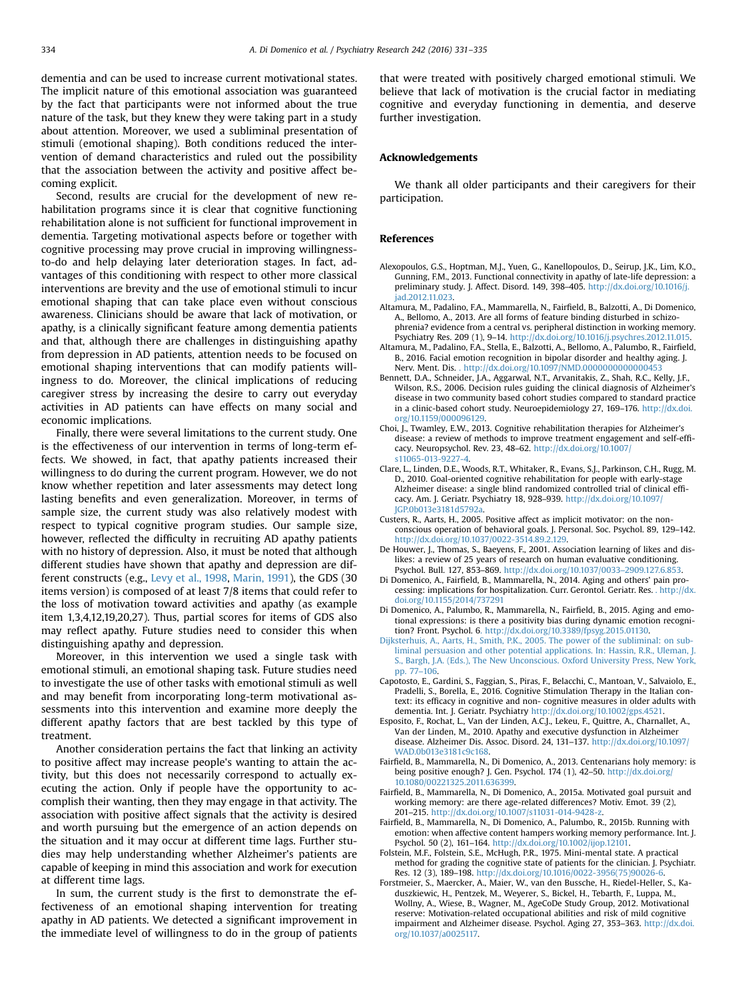<span id="page-3-0"></span>dementia and can be used to increase current motivational states. The implicit nature of this emotional association was guaranteed by the fact that participants were not informed about the true nature of the task, but they knew they were taking part in a study about attention. Moreover, we used a subliminal presentation of stimuli (emotional shaping). Both conditions reduced the intervention of demand characteristics and ruled out the possibility that the association between the activity and positive affect becoming explicit.

Second, results are crucial for the development of new rehabilitation programs since it is clear that cognitive functioning rehabilitation alone is not sufficient for functional improvement in dementia. Targeting motivational aspects before or together with cognitive processing may prove crucial in improving willingnessto-do and help delaying later deterioration stages. In fact, advantages of this conditioning with respect to other more classical interventions are brevity and the use of emotional stimuli to incur emotional shaping that can take place even without conscious awareness. Clinicians should be aware that lack of motivation, or apathy, is a clinically significant feature among dementia patients and that, although there are challenges in distinguishing apathy from depression in AD patients, attention needs to be focused on emotional shaping interventions that can modify patients willingness to do. Moreover, the clinical implications of reducing caregiver stress by increasing the desire to carry out everyday activities in AD patients can have effects on many social and economic implications.

Finally, there were several limitations to the current study. One is the effectiveness of our intervention in terms of long-term effects. We showed, in fact, that apathy patients increased their willingness to do during the current program. However, we do not know whether repetition and later assessments may detect long lasting benefits and even generalization. Moreover, in terms of sample size, the current study was also relatively modest with respect to typical cognitive program studies. Our sample size, however, reflected the difficulty in recruiting AD apathy patients with no history of depression. Also, it must be noted that although different studies have shown that apathy and depression are different constructs (e.g., [Levy et al., 1998,](#page-4-0) [Marin, 1991](#page-4-0)), the GDS (30 items version) is composed of at least 7/8 items that could refer to the loss of motivation toward activities and apathy (as example item 1,3,4,12,19,20,27). Thus, partial scores for items of GDS also may reflect apathy. Future studies need to consider this when distinguishing apathy and depression.

Moreover, in this intervention we used a single task with emotional stimuli, an emotional shaping task. Future studies need to investigate the use of other tasks with emotional stimuli as well and may benefit from incorporating long-term motivational assessments into this intervention and examine more deeply the different apathy factors that are best tackled by this type of treatment.

Another consideration pertains the fact that linking an activity to positive affect may increase people's wanting to attain the activity, but this does not necessarily correspond to actually executing the action. Only if people have the opportunity to accomplish their wanting, then they may engage in that activity. The association with positive affect signals that the activity is desired and worth pursuing but the emergence of an action depends on the situation and it may occur at different time lags. Further studies may help understanding whether Alzheimer's patients are capable of keeping in mind this association and work for execution at different time lags.

In sum, the current study is the first to demonstrate the effectiveness of an emotional shaping intervention for treating apathy in AD patients. We detected a significant improvement in the immediate level of willingness to do in the group of patients that were treated with positively charged emotional stimuli. We believe that lack of motivation is the crucial factor in mediating cognitive and everyday functioning in dementia, and deserve further investigation.

#### Acknowledgements

We thank all older participants and their caregivers for their participation.

#### References

- Alexopoulos, G.S., Hoptman, M.J., Yuen, G., Kanellopoulos, D., Seirup, J.K., Lim, K.O., Gunning, F.M., 2013. Functional connectivity in apathy of late-life depression: a preliminary study. J. Affect. Disord. 149, 398–405. [http://dx.doi.org/10.1016/j.](http://dx.doi.org/10.1016/j.jad.2012.11.023) [jad.2012.11.023](http://dx.doi.org/10.1016/j.jad.2012.11.023).
- Altamura, M., Padalino, F.A., Mammarella, N., Fairfield, B., Balzotti, A., Di Domenico, A., Bellomo, A., 2013. Are all forms of feature binding disturbed in schizophrenia? evidence from a central vs. peripheral distinction in working memory. Psychiatry Res. 209 (1), 9–14. [http://dx.doi.org/10.1016/j.psychres.2012.11.015.](http://dx.doi.org/10.1016/j.psychres.2012.11.015)
- Altamura, M., Padalino, F.A., Stella, E., Balzotti, A., Bellomo, A., Palumbo, R., Fairfield, B., 2016. Facial emotion recognition in bipolar disorder and healthy aging. J. Nerv. Ment. Dis. .<http://dx.doi.org/10.1097/NMD.0000000000000453>
- Bennett, D.A., Schneider, J.A., Aggarwal, N.T., Arvanitakis, Z., Shah, R.C., Kelly, J.F., Wilson, R.S., 2006. Decision rules guiding the clinical diagnosis of Alzheimer's disease in two community based cohort studies compared to standard practice in a clinic-based cohort study. Neuroepidemiology 27, 169–176. [http://dx.doi.](http://dx.doi.org/10.1159/000096129) [org/10.1159/000096129.](http://dx.doi.org/10.1159/000096129)
- Choi, J., Twamley, E.W., 2013. Cognitive rehabilitation therapies for Alzheimer's disease: a review of methods to improve treatment engagement and self-efficacy. Neuropsychol. Rev. 23, 48–62. [http://dx.doi.org/10.1007/](http://dx.doi.org/10.1007/s11065-013-9227-4) [s11065-013-9227-4](http://dx.doi.org/10.1007/s11065-013-9227-4).
- Clare, L., Linden, D.E., Woods, R.T., Whitaker, R., Evans, S.J., Parkinson, C.H., Rugg, M. D., 2010. Goal-oriented cognitive rehabilitation for people with early-stage Alzheimer disease: a single blind randomized controlled trial of clinical efficacy. Am. J. Geriatr. Psychiatry 18, 928–939. [http://dx.doi.org/10.1097/](http://dx.doi.org/10.1097/JGP.0b013e3181d5792a) [JGP.0b013e3181d5792a.](http://dx.doi.org/10.1097/JGP.0b013e3181d5792a)
- Custers, R., Aarts, H., 2005. Positive affect as implicit motivator: on the nonconscious operation of behavioral goals. J. Personal. Soc. Psychol. 89, 129–142. [http://dx.doi.org/10.1037/0022-3514.89.2.129.](http://dx.doi.org/10.1037/0022-3514.89.2.129)
- De Houwer, J., Thomas, S., Baeyens, F., 2001. Association learning of likes and dislikes: a review of 25 years of research on human evaluative conditioning. Psychol. Bull. 127, 853–869. [http://dx.doi.org/10.1037/0033](http://dx.doi.org/10.1037/00332909.127.6.853)–2909.127.6.853.
- Di Domenico, A., Fairfield, B., Mammarella, N., 2014. Aging and others' pain processing: implications for hospitalization. Curr. Gerontol. Geriatr. Res. . [http://dx.](http://dx.doi.org/10.1155/2014/737291) [doi.org/10.1155/2014/737291](http://dx.doi.org/10.1155/2014/737291)
- Di Domenico, A., Palumbo, R., Mammarella, N., Fairfield, B., 2015. Aging and emotional expressions: is there a positivity bias during dynamic emotion recognition? Front. Psychol. 6.<http://dx.doi.org/10.3389/fpsyg.2015.01130>.
- [Dijksterhuis, A., Aarts, H., Smith, P.K., 2005. The power of the subliminal: on sub](http://refhub.elsevier.com/S0165-1781(16)30423-1/sbref11)[liminal persuasion and other potential applications. In: Hassin, R.R., Uleman, J.](http://refhub.elsevier.com/S0165-1781(16)30423-1/sbref11) [S., Bargh, J.A. \(Eds.\), The New Unconscious. Oxford University Press, New York,](http://refhub.elsevier.com/S0165-1781(16)30423-1/sbref11) [pp. 77](http://refhub.elsevier.com/S0165-1781(16)30423-1/sbref11)–106.
- Capotosto, E., Gardini, S., Faggian, S., Piras, F., Belacchi, C., Mantoan, V., Salvaiolo, E., Pradelli, S., Borella, E., 2016. Cognitive Stimulation Therapy in the Italian context: its efficacy in cognitive and non- cognitive measures in older adults with dementia. Int. J. Geriatr. Psychiatry http://dx.doi.org/10.1002/gps.4521.
- Esposito, F., Rochat, L., Van der Linden, A.C.J., Lekeu, F., Quittre, A., Charnallet, A., Van der Linden, M., 2010. Apathy and executive dysfunction in Alzheimer disease. Alzheimer Dis. Assoc. Disord. 24, 131–137. [http://dx.doi.org/10.1097/](http://dx.doi.org/10.1097/WAD.0b013e3181c9c168) [WAD.0b013e3181c9c168](http://dx.doi.org/10.1097/WAD.0b013e3181c9c168).
- Fairfield, B., Mammarella, N., Di Domenico, A., 2013. Centenarians holy memory: is being positive enough? J. Gen. Psychol. 174 (1), 42-50. http://dx.doi.org [10.1080/00221325.2011.636399](http://dx.doi.org/10.1080/00221325.2011.636399).
- Fairfield, B., Mammarella, N., Di Domenico, A., 2015a. Motivated goal pursuit and working memory: are there age-related differences? Motiv. Emot. 39 (2), 201–215. <http://dx.doi.org/10.1007/s11031-014-9428-z>.
- Fairfield, B., Mammarella, N., Di Domenico, A., Palumbo, R., 2015b. Running with emotion: when affective content hampers working memory performance. Int. J. Psychol. 50 (2), 161–164. <http://dx.doi.org/10.1002/ijop.12101>.
- Folstein, M.F., Folstein, S.E., McHugh, P.R., 1975. Mini-mental state. A practical method for grading the cognitive state of patients for the clinician. J. Psychiatr. Res. 12 (3), 189–198. [http://dx.doi.org/10.1016/0022-3956\(75\)90026-6.](http://dx.doi.org/10.1016/0022-3956(75)90026-6)
- Forstmeier, S., Maercker, A., Maier, W., van den Bussche, H., Riedel-Heller, S., Kaduszkiewic, H., Pentzek, M., Weyerer, S., Bickel, H., Tebarth, F., Luppa, M., Wollny, A., Wiese, B., Wagner, M., AgeCoDe Study Group, 2012. Motivational reserve: Motivation-related occupational abilities and risk of mild cognitive impairment and Alzheimer disease. Psychol. Aging 27, 353–363. [http://dx.doi.](http://dx.doi.org/10.1037/a0025117) [org/10.1037/a0025117.](http://dx.doi.org/10.1037/a0025117)